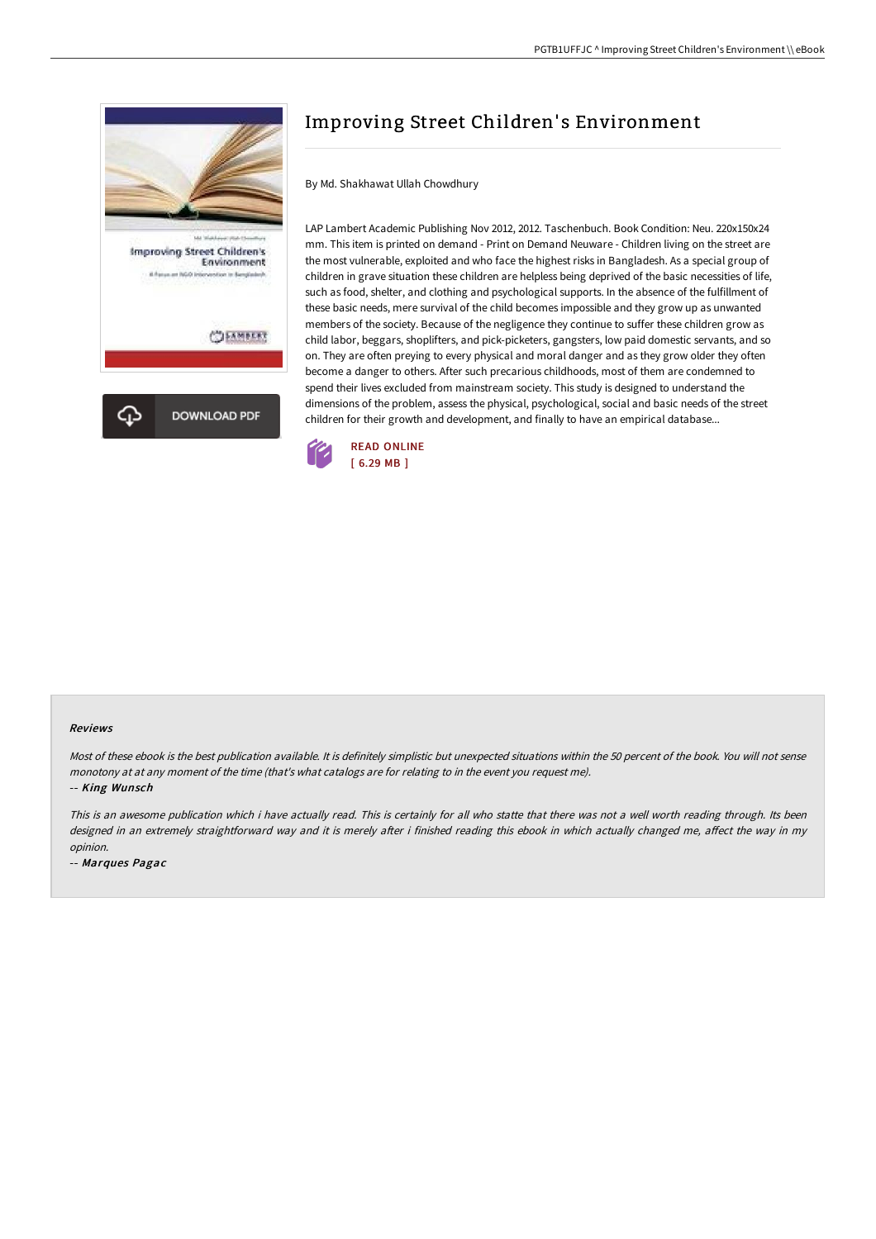

## Improving Street Children's Environment

By Md. Shakhawat Ullah Chowdhury

LAP Lambert Academic Publishing Nov 2012, 2012. Taschenbuch. Book Condition: Neu. 220x150x24 mm. This item is printed on demand - Print on Demand Neuware - Children living on the street are the most vulnerable, exploited and who face the highest risks in Bangladesh. As a special group of children in grave situation these children are helpless being deprived of the basic necessities of life, such as food, shelter, and clothing and psychological supports. In the absence of the fulfillment of these basic needs, mere survival of the child becomes impossible and they grow up as unwanted members of the society. Because of the negligence they continue to suffer these children grow as child labor, beggars, shoplifters, and pick-picketers, gangsters, low paid domestic servants, and so on. They are often preying to every physical and moral danger and as they grow older they often become a danger to others. After such precarious childhoods, most of them are condemned to spend their lives excluded from mainstream society. This study is designed to understand the dimensions of the problem, assess the physical, psychological, social and basic needs of the street children for their growth and development, and finally to have an empirical database...



## Reviews

Most of these ebook is the best publication available. It is definitely simplistic but unexpected situations within the 50 percent of the book. You will not sense monotony at at any moment of the time (that's what catalogs are for relating to in the event you request me).

-- King Wunsch

This is an awesome publication which i have actually read. This is certainly for all who statte that there was not <sup>a</sup> well worth reading through. Its been designed in an extremely straightforward way and it is merely after i finished reading this ebook in which actually changed me, affect the way in my opinion.

-- Marques Pagac